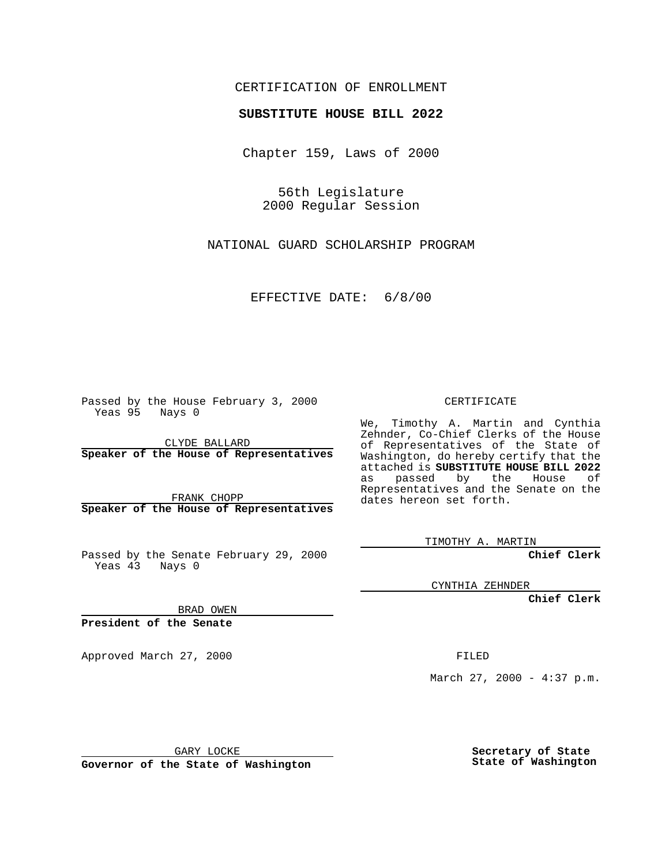## CERTIFICATION OF ENROLLMENT

## **SUBSTITUTE HOUSE BILL 2022**

Chapter 159, Laws of 2000

56th Legislature 2000 Regular Session

NATIONAL GUARD SCHOLARSHIP PROGRAM

EFFECTIVE DATE: 6/8/00

Passed by the House February 3, 2000 Yeas 95 Nays 0

CLYDE BALLARD **Speaker of the House of Representatives**

FRANK CHOPP **Speaker of the House of Representatives**

Passed by the Senate February 29, 2000 Yeas 43 Nays 0

CYNTHIA ZEHNDER

**Chief Clerk**

BRAD OWEN

**President of the Senate**

Approved March 27, 2000 FILED

March 27, 2000 - 4:37 p.m.

GARY LOCKE

**Governor of the State of Washington**

**Secretary of State State of Washington**

CERTIFICATE

We, Timothy A. Martin and Cynthia Zehnder, Co-Chief Clerks of the House of Representatives of the State of Washington, do hereby certify that the attached is **SUBSTITUTE HOUSE BILL 2022** as passed by the House of Representatives and the Senate on the dates hereon set forth.

TIMOTHY A. MARTIN

**Chief Clerk**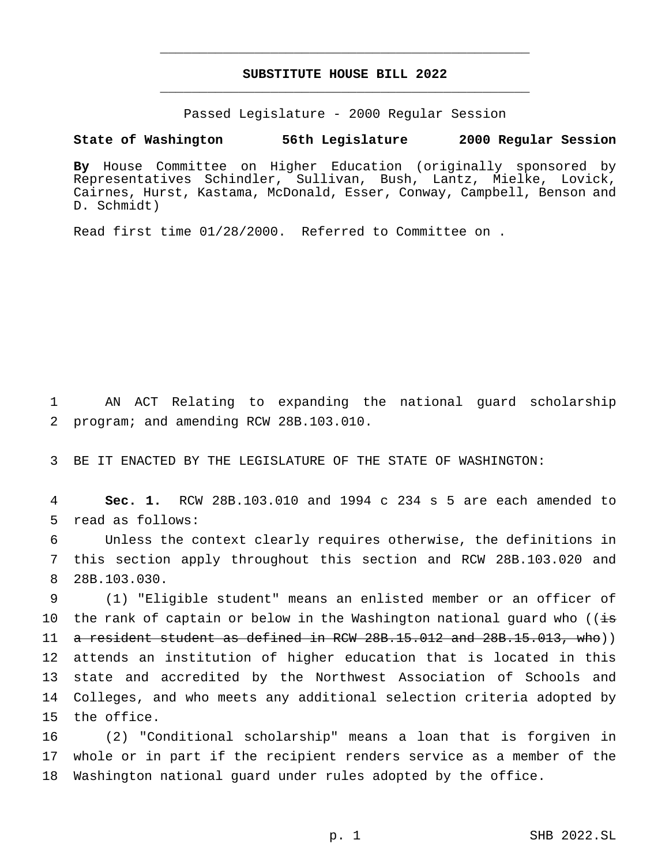## **SUBSTITUTE HOUSE BILL 2022** \_\_\_\_\_\_\_\_\_\_\_\_\_\_\_\_\_\_\_\_\_\_\_\_\_\_\_\_\_\_\_\_\_\_\_\_\_\_\_\_\_\_\_\_\_\_\_

\_\_\_\_\_\_\_\_\_\_\_\_\_\_\_\_\_\_\_\_\_\_\_\_\_\_\_\_\_\_\_\_\_\_\_\_\_\_\_\_\_\_\_\_\_\_\_

Passed Legislature - 2000 Regular Session

## **State of Washington 56th Legislature 2000 Regular Session**

**By** House Committee on Higher Education (originally sponsored by Representatives Schindler, Sullivan, Bush, Lantz, Mielke, Lovick, Cairnes, Hurst, Kastama, McDonald, Esser, Conway, Campbell, Benson and D. Schmidt)

Read first time 01/28/2000. Referred to Committee on .

1 AN ACT Relating to expanding the national guard scholarship 2 program; and amending RCW 28B.103.010.

3 BE IT ENACTED BY THE LEGISLATURE OF THE STATE OF WASHINGTON:

4 **Sec. 1.** RCW 28B.103.010 and 1994 c 234 s 5 are each amended to 5 read as follows:

6 Unless the context clearly requires otherwise, the definitions in 7 this section apply throughout this section and RCW 28B.103.020 and 8 28B.103.030.

 (1) "Eligible student" means an enlisted member or an officer of 10 the rank of captain or below in the Washington national guard who ( $\overline{is}$  a resident student as defined in RCW 28B.15.012 and 28B.15.013, who)) attends an institution of higher education that is located in this state and accredited by the Northwest Association of Schools and Colleges, and who meets any additional selection criteria adopted by the office.

16 (2) "Conditional scholarship" means a loan that is forgiven in 17 whole or in part if the recipient renders service as a member of the 18 Washington national guard under rules adopted by the office.